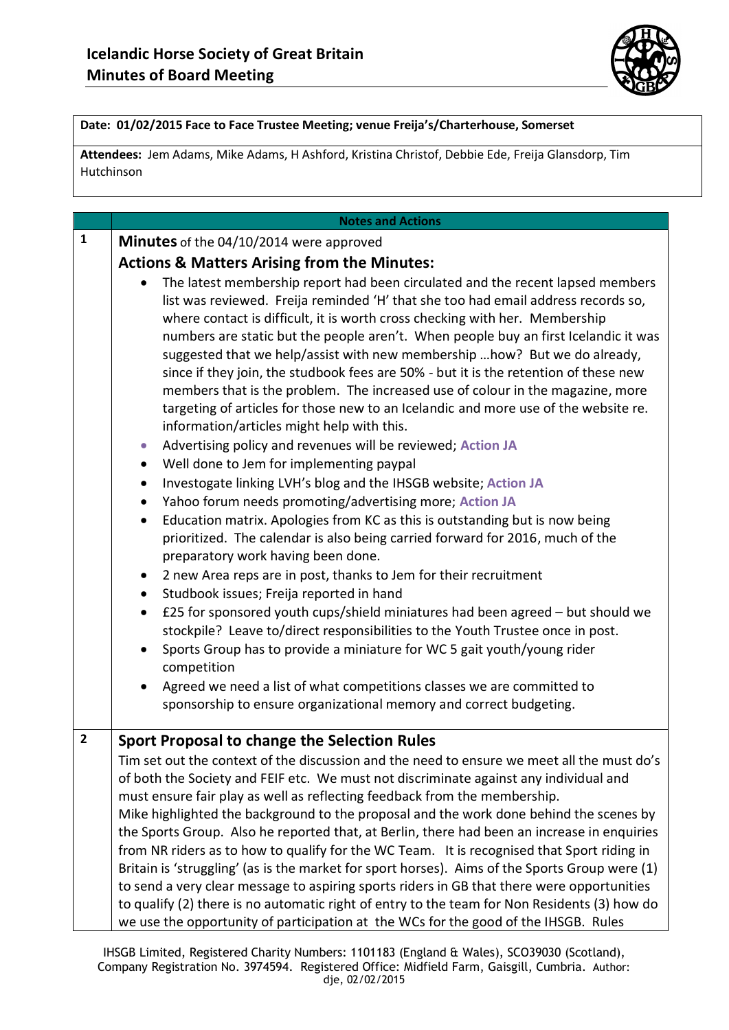

## **Date: 01/02/2015 Face to Face Trustee Meeting; venue Freija's/Charterhouse, Somerset**

**Attendees:** Jem Adams, Mike Adams, H Ashford, Kristina Christof, Debbie Ede, Freija Glansdorp, Tim Hutchinson

|                | <b>Notes and Actions</b>                                                                                                                                                                                                                                                                                                                                                                                                                                                                                                                                                                                                                                                                                                                                                                                                                                                                                                                                                                                                                                                                                                                                                                                                                                                                                                                                                                                                                                                                                                                                                                                                                                                                                                                                                                                                                  |
|----------------|-------------------------------------------------------------------------------------------------------------------------------------------------------------------------------------------------------------------------------------------------------------------------------------------------------------------------------------------------------------------------------------------------------------------------------------------------------------------------------------------------------------------------------------------------------------------------------------------------------------------------------------------------------------------------------------------------------------------------------------------------------------------------------------------------------------------------------------------------------------------------------------------------------------------------------------------------------------------------------------------------------------------------------------------------------------------------------------------------------------------------------------------------------------------------------------------------------------------------------------------------------------------------------------------------------------------------------------------------------------------------------------------------------------------------------------------------------------------------------------------------------------------------------------------------------------------------------------------------------------------------------------------------------------------------------------------------------------------------------------------------------------------------------------------------------------------------------------------|
| $\mathbf{1}$   | Minutes of the 04/10/2014 were approved                                                                                                                                                                                                                                                                                                                                                                                                                                                                                                                                                                                                                                                                                                                                                                                                                                                                                                                                                                                                                                                                                                                                                                                                                                                                                                                                                                                                                                                                                                                                                                                                                                                                                                                                                                                                   |
|                |                                                                                                                                                                                                                                                                                                                                                                                                                                                                                                                                                                                                                                                                                                                                                                                                                                                                                                                                                                                                                                                                                                                                                                                                                                                                                                                                                                                                                                                                                                                                                                                                                                                                                                                                                                                                                                           |
|                | <b>Actions &amp; Matters Arising from the Minutes:</b><br>The latest membership report had been circulated and the recent lapsed members<br>list was reviewed. Freija reminded 'H' that she too had email address records so,<br>where contact is difficult, it is worth cross checking with her. Membership<br>numbers are static but the people aren't. When people buy an first Icelandic it was<br>suggested that we help/assist with new membership  how? But we do already,<br>since if they join, the studbook fees are 50% - but it is the retention of these new<br>members that is the problem. The increased use of colour in the magazine, more<br>targeting of articles for those new to an Icelandic and more use of the website re.<br>information/articles might help with this.<br>Advertising policy and revenues will be reviewed; Action JA<br>$\bullet$<br>Well done to Jem for implementing paypal<br>$\bullet$<br>Investogate linking LVH's blog and the IHSGB website; Action JA<br>$\bullet$<br>Yahoo forum needs promoting/advertising more; Action JA<br>$\bullet$<br>Education matrix. Apologies from KC as this is outstanding but is now being<br>$\bullet$<br>prioritized. The calendar is also being carried forward for 2016, much of the<br>preparatory work having been done.<br>2 new Area reps are in post, thanks to Jem for their recruitment<br>$\bullet$<br>Studbook issues; Freija reported in hand<br>$\bullet$<br>£25 for sponsored youth cups/shield miniatures had been agreed - but should we<br>$\bullet$<br>stockpile? Leave to/direct responsibilities to the Youth Trustee once in post.<br>Sports Group has to provide a miniature for WC 5 gait youth/young rider<br>$\bullet$<br>competition<br>Agreed we need a list of what competitions classes we are committed to<br>$\bullet$ |
|                | sponsorship to ensure organizational memory and correct budgeting.                                                                                                                                                                                                                                                                                                                                                                                                                                                                                                                                                                                                                                                                                                                                                                                                                                                                                                                                                                                                                                                                                                                                                                                                                                                                                                                                                                                                                                                                                                                                                                                                                                                                                                                                                                        |
|                |                                                                                                                                                                                                                                                                                                                                                                                                                                                                                                                                                                                                                                                                                                                                                                                                                                                                                                                                                                                                                                                                                                                                                                                                                                                                                                                                                                                                                                                                                                                                                                                                                                                                                                                                                                                                                                           |
| $\overline{2}$ | <b>Sport Proposal to change the Selection Rules</b><br>Tim set out the context of the discussion and the need to ensure we meet all the must do's<br>of both the Society and FEIF etc. We must not discriminate against any individual and<br>must ensure fair play as well as reflecting feedback from the membership.<br>Mike highlighted the background to the proposal and the work done behind the scenes by<br>the Sports Group. Also he reported that, at Berlin, there had been an increase in enquiries<br>from NR riders as to how to qualify for the WC Team. It is recognised that Sport riding in<br>Britain is 'struggling' (as is the market for sport horses). Aims of the Sports Group were (1)<br>to send a very clear message to aspiring sports riders in GB that there were opportunities<br>to qualify (2) there is no automatic right of entry to the team for Non Residents (3) how do<br>we use the opportunity of participation at the WCs for the good of the IHSGB. Rules                                                                                                                                                                                                                                                                                                                                                                                                                                                                                                                                                                                                                                                                                                                                                                                                                                     |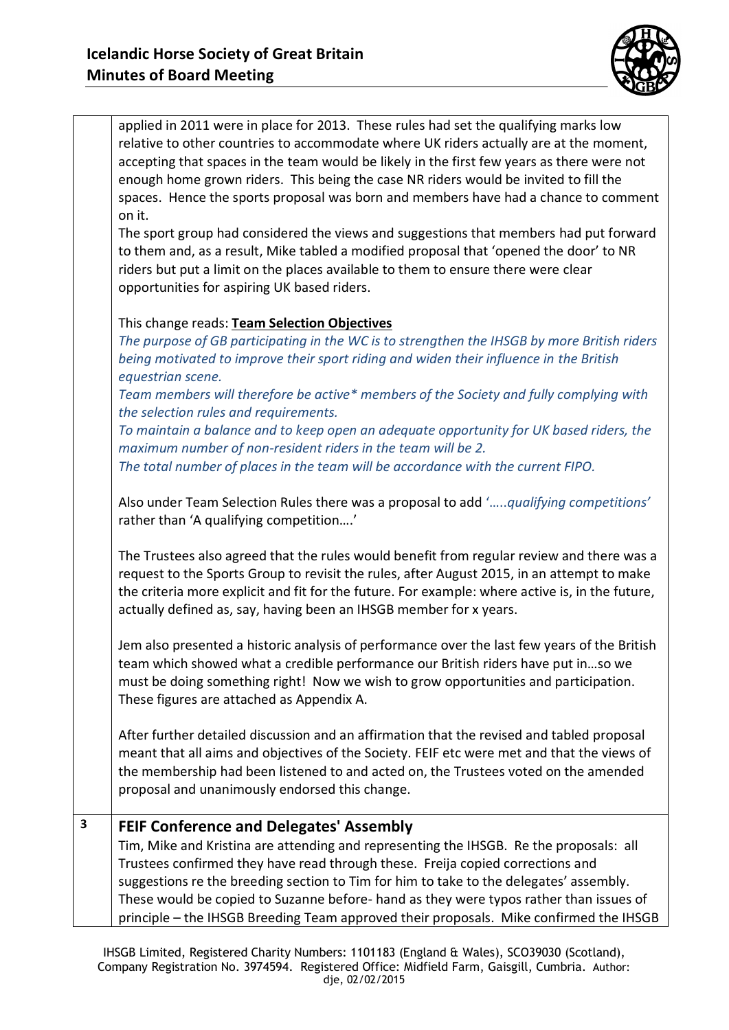

|   | applied in 2011 were in place for 2013. These rules had set the qualifying marks low<br>relative to other countries to accommodate where UK riders actually are at the moment,<br>accepting that spaces in the team would be likely in the first few years as there were not<br>enough home grown riders. This being the case NR riders would be invited to fill the<br>spaces. Hence the sports proposal was born and members have had a chance to comment<br>on it.<br>The sport group had considered the views and suggestions that members had put forward |
|---|----------------------------------------------------------------------------------------------------------------------------------------------------------------------------------------------------------------------------------------------------------------------------------------------------------------------------------------------------------------------------------------------------------------------------------------------------------------------------------------------------------------------------------------------------------------|
|   | to them and, as a result, Mike tabled a modified proposal that 'opened the door' to NR<br>riders but put a limit on the places available to them to ensure there were clear<br>opportunities for aspiring UK based riders.                                                                                                                                                                                                                                                                                                                                     |
|   | This change reads: Team Selection Objectives<br>The purpose of GB participating in the WC is to strengthen the IHSGB by more British riders<br>being motivated to improve their sport riding and widen their influence in the British<br>equestrian scene.                                                                                                                                                                                                                                                                                                     |
|   | Team members will therefore be active* members of the Society and fully complying with<br>the selection rules and requirements.<br>To maintain a balance and to keep open an adequate opportunity for UK based riders, the<br>maximum number of non-resident riders in the team will be 2.                                                                                                                                                                                                                                                                     |
|   | The total number of places in the team will be accordance with the current FIPO.<br>Also under Team Selection Rules there was a proposal to add 'qualifying competitions'<br>rather than 'A qualifying competition'                                                                                                                                                                                                                                                                                                                                            |
|   | The Trustees also agreed that the rules would benefit from regular review and there was a<br>request to the Sports Group to revisit the rules, after August 2015, in an attempt to make<br>the criteria more explicit and fit for the future. For example: where active is, in the future,<br>actually defined as, say, having been an IHSGB member for x years.                                                                                                                                                                                               |
|   | Jem also presented a historic analysis of performance over the last few years of the British<br>team which showed what a credible performance our British riders have put inso we<br>must be doing something right! Now we wish to grow opportunities and participation.<br>These figures are attached as Appendix A.                                                                                                                                                                                                                                          |
|   | After further detailed discussion and an affirmation that the revised and tabled proposal<br>meant that all aims and objectives of the Society. FEIF etc were met and that the views of<br>the membership had been listened to and acted on, the Trustees voted on the amended<br>proposal and unanimously endorsed this change.                                                                                                                                                                                                                               |
| 3 | <b>FEIF Conference and Delegates' Assembly</b><br>Tim, Mike and Kristina are attending and representing the IHSGB. Re the proposals: all<br>Trustees confirmed they have read through these. Freija copied corrections and<br>suggestions re the breeding section to Tim for him to take to the delegates' assembly.<br>These would be copied to Suzanne before- hand as they were typos rather than issues of                                                                                                                                                 |
|   | principle - the IHSGB Breeding Team approved their proposals. Mike confirmed the IHSGB                                                                                                                                                                                                                                                                                                                                                                                                                                                                         |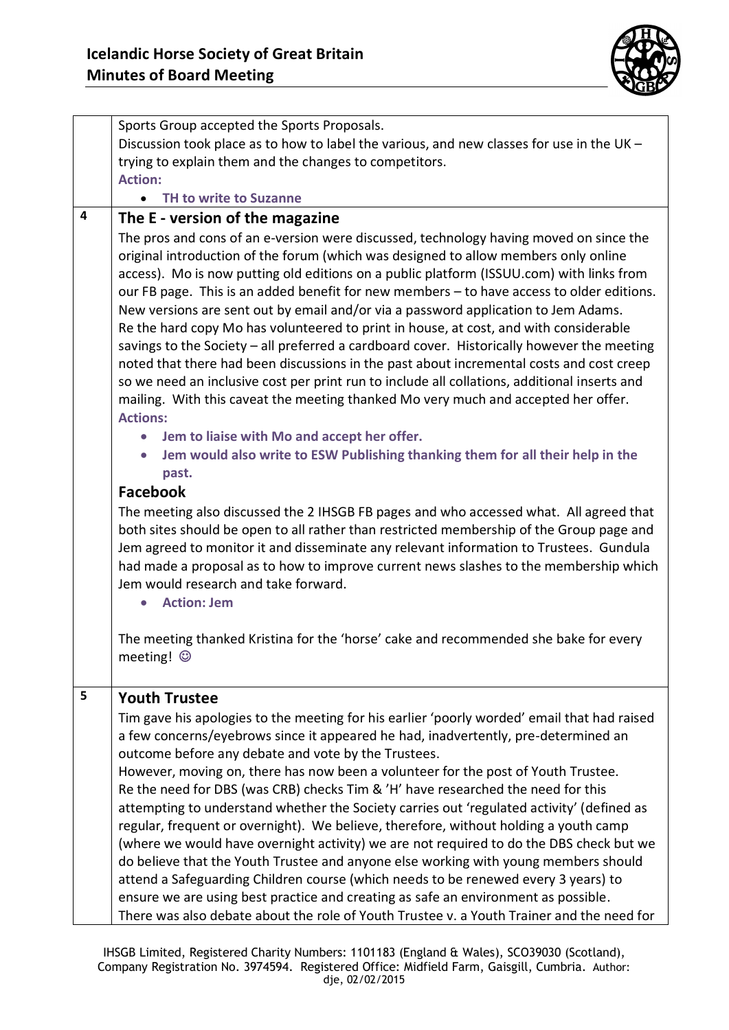

|   | Sports Group accepted the Sports Proposals.                                                                                                                                                                                                                                                                                                                                                                                                                                                                                                                                                                                                                                                                                                                                                                                                                                                                                                                                                                                                                                                            |
|---|--------------------------------------------------------------------------------------------------------------------------------------------------------------------------------------------------------------------------------------------------------------------------------------------------------------------------------------------------------------------------------------------------------------------------------------------------------------------------------------------------------------------------------------------------------------------------------------------------------------------------------------------------------------------------------------------------------------------------------------------------------------------------------------------------------------------------------------------------------------------------------------------------------------------------------------------------------------------------------------------------------------------------------------------------------------------------------------------------------|
|   | Discussion took place as to how to label the various, and new classes for use in the UK -                                                                                                                                                                                                                                                                                                                                                                                                                                                                                                                                                                                                                                                                                                                                                                                                                                                                                                                                                                                                              |
|   | trying to explain them and the changes to competitors.                                                                                                                                                                                                                                                                                                                                                                                                                                                                                                                                                                                                                                                                                                                                                                                                                                                                                                                                                                                                                                                 |
|   | <b>Action:</b>                                                                                                                                                                                                                                                                                                                                                                                                                                                                                                                                                                                                                                                                                                                                                                                                                                                                                                                                                                                                                                                                                         |
|   | <b>TH to write to Suzanne</b>                                                                                                                                                                                                                                                                                                                                                                                                                                                                                                                                                                                                                                                                                                                                                                                                                                                                                                                                                                                                                                                                          |
| 4 | The E - version of the magazine                                                                                                                                                                                                                                                                                                                                                                                                                                                                                                                                                                                                                                                                                                                                                                                                                                                                                                                                                                                                                                                                        |
|   | The pros and cons of an e-version were discussed, technology having moved on since the<br>original introduction of the forum (which was designed to allow members only online<br>access). Mo is now putting old editions on a public platform (ISSUU.com) with links from<br>our FB page. This is an added benefit for new members - to have access to older editions.<br>New versions are sent out by email and/or via a password application to Jem Adams.<br>Re the hard copy Mo has volunteered to print in house, at cost, and with considerable<br>savings to the Society - all preferred a cardboard cover. Historically however the meeting<br>noted that there had been discussions in the past about incremental costs and cost creep<br>so we need an inclusive cost per print run to include all collations, additional inserts and<br>mailing. With this caveat the meeting thanked Mo very much and accepted her offer.<br><b>Actions:</b><br>Jem to liaise with Mo and accept her offer.<br>$\bullet$<br>Jem would also write to ESW Publishing thanking them for all their help in the |
|   | past.                                                                                                                                                                                                                                                                                                                                                                                                                                                                                                                                                                                                                                                                                                                                                                                                                                                                                                                                                                                                                                                                                                  |
|   | <b>Facebook</b>                                                                                                                                                                                                                                                                                                                                                                                                                                                                                                                                                                                                                                                                                                                                                                                                                                                                                                                                                                                                                                                                                        |
|   | The meeting also discussed the 2 IHSGB FB pages and who accessed what. All agreed that<br>both sites should be open to all rather than restricted membership of the Group page and<br>Jem agreed to monitor it and disseminate any relevant information to Trustees. Gundula<br>had made a proposal as to how to improve current news slashes to the membership which<br>Jem would research and take forward.<br><b>Action: Jem</b>                                                                                                                                                                                                                                                                                                                                                                                                                                                                                                                                                                                                                                                                    |
|   | The meeting thanked Kristina for the 'horse' cake and recommended she bake for every<br>meeting! ©                                                                                                                                                                                                                                                                                                                                                                                                                                                                                                                                                                                                                                                                                                                                                                                                                                                                                                                                                                                                     |
| 5 | <b>Youth Trustee</b>                                                                                                                                                                                                                                                                                                                                                                                                                                                                                                                                                                                                                                                                                                                                                                                                                                                                                                                                                                                                                                                                                   |
|   | Tim gave his apologies to the meeting for his earlier 'poorly worded' email that had raised                                                                                                                                                                                                                                                                                                                                                                                                                                                                                                                                                                                                                                                                                                                                                                                                                                                                                                                                                                                                            |
|   | a few concerns/eyebrows since it appeared he had, inadvertently, pre-determined an                                                                                                                                                                                                                                                                                                                                                                                                                                                                                                                                                                                                                                                                                                                                                                                                                                                                                                                                                                                                                     |
|   | outcome before any debate and vote by the Trustees.                                                                                                                                                                                                                                                                                                                                                                                                                                                                                                                                                                                                                                                                                                                                                                                                                                                                                                                                                                                                                                                    |
|   | However, moving on, there has now been a volunteer for the post of Youth Trustee.                                                                                                                                                                                                                                                                                                                                                                                                                                                                                                                                                                                                                                                                                                                                                                                                                                                                                                                                                                                                                      |
|   | Re the need for DBS (was CRB) checks Tim & 'H' have researched the need for this                                                                                                                                                                                                                                                                                                                                                                                                                                                                                                                                                                                                                                                                                                                                                                                                                                                                                                                                                                                                                       |
|   | attempting to understand whether the Society carries out 'regulated activity' (defined as                                                                                                                                                                                                                                                                                                                                                                                                                                                                                                                                                                                                                                                                                                                                                                                                                                                                                                                                                                                                              |
|   | regular, frequent or overnight). We believe, therefore, without holding a youth camp                                                                                                                                                                                                                                                                                                                                                                                                                                                                                                                                                                                                                                                                                                                                                                                                                                                                                                                                                                                                                   |
|   | (where we would have overnight activity) we are not required to do the DBS check but we<br>do believe that the Youth Trustee and anyone else working with young members should                                                                                                                                                                                                                                                                                                                                                                                                                                                                                                                                                                                                                                                                                                                                                                                                                                                                                                                         |
|   | attend a Safeguarding Children course (which needs to be renewed every 3 years) to<br>ensure we are using best practice and creating as safe an environment as possible.                                                                                                                                                                                                                                                                                                                                                                                                                                                                                                                                                                                                                                                                                                                                                                                                                                                                                                                               |
|   | There was also debate about the role of Youth Trustee v. a Youth Trainer and the need for                                                                                                                                                                                                                                                                                                                                                                                                                                                                                                                                                                                                                                                                                                                                                                                                                                                                                                                                                                                                              |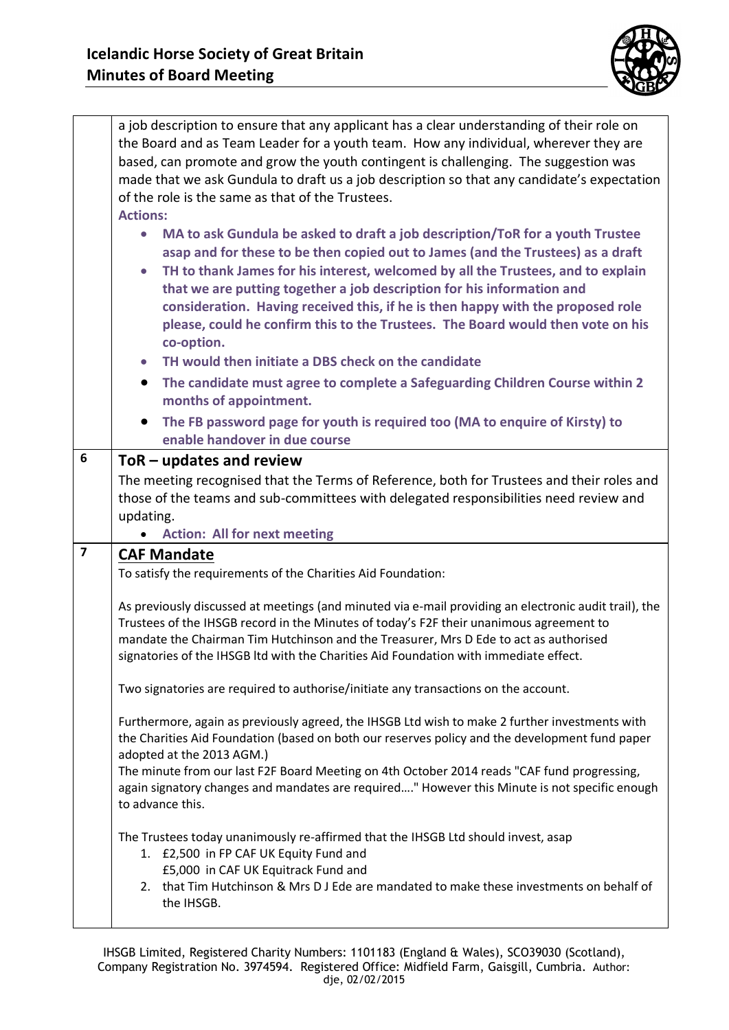

|                         | a job description to ensure that any applicant has a clear understanding of their role on                                                                                                        |
|-------------------------|--------------------------------------------------------------------------------------------------------------------------------------------------------------------------------------------------|
|                         | the Board and as Team Leader for a youth team. How any individual, wherever they are                                                                                                             |
|                         | based, can promote and grow the youth contingent is challenging. The suggestion was                                                                                                              |
|                         | made that we ask Gundula to draft us a job description so that any candidate's expectation                                                                                                       |
|                         |                                                                                                                                                                                                  |
|                         | of the role is the same as that of the Trustees.                                                                                                                                                 |
|                         | <b>Actions:</b>                                                                                                                                                                                  |
|                         | MA to ask Gundula be asked to draft a job description/ToR for a youth Trustee<br>$\bullet$                                                                                                       |
|                         | asap and for these to be then copied out to James (and the Trustees) as a draft                                                                                                                  |
|                         | TH to thank James for his interest, welcomed by all the Trustees, and to explain<br>$\bullet$                                                                                                    |
|                         | that we are putting together a job description for his information and                                                                                                                           |
|                         | consideration. Having received this, if he is then happy with the proposed role                                                                                                                  |
|                         | please, could he confirm this to the Trustees. The Board would then vote on his                                                                                                                  |
|                         | co-option.                                                                                                                                                                                       |
|                         | TH would then initiate a DBS check on the candidate                                                                                                                                              |
|                         | The candidate must agree to complete a Safeguarding Children Course within 2<br>$\bullet$                                                                                                        |
|                         | months of appointment.                                                                                                                                                                           |
|                         | The FB password page for youth is required too (MA to enquire of Kirsty) to                                                                                                                      |
|                         | enable handover in due course                                                                                                                                                                    |
| 6                       | $ToR$ – updates and review                                                                                                                                                                       |
|                         | The meeting recognised that the Terms of Reference, both for Trustees and their roles and                                                                                                        |
|                         | those of the teams and sub-committees with delegated responsibilities need review and                                                                                                            |
|                         | updating.                                                                                                                                                                                        |
|                         |                                                                                                                                                                                                  |
|                         | <b>Action: All for next meeting</b>                                                                                                                                                              |
| $\overline{\mathbf{z}}$ | <b>CAF Mandate</b>                                                                                                                                                                               |
|                         |                                                                                                                                                                                                  |
|                         | To satisfy the requirements of the Charities Aid Foundation:                                                                                                                                     |
|                         | As previously discussed at meetings (and minuted via e-mail providing an electronic audit trail), the                                                                                            |
|                         | Trustees of the IHSGB record in the Minutes of today's F2F their unanimous agreement to                                                                                                          |
|                         | mandate the Chairman Tim Hutchinson and the Treasurer, Mrs D Ede to act as authorised                                                                                                            |
|                         | signatories of the IHSGB Itd with the Charities Aid Foundation with immediate effect.                                                                                                            |
|                         |                                                                                                                                                                                                  |
|                         | Two signatories are required to authorise/initiate any transactions on the account.                                                                                                              |
|                         |                                                                                                                                                                                                  |
|                         | Furthermore, again as previously agreed, the IHSGB Ltd wish to make 2 further investments with<br>the Charities Aid Foundation (based on both our reserves policy and the development fund paper |
|                         | adopted at the 2013 AGM.)                                                                                                                                                                        |
|                         | The minute from our last F2F Board Meeting on 4th October 2014 reads "CAF fund progressing,                                                                                                      |
|                         | again signatory changes and mandates are required" However this Minute is not specific enough                                                                                                    |
|                         | to advance this.                                                                                                                                                                                 |
|                         |                                                                                                                                                                                                  |
|                         | The Trustees today unanimously re-affirmed that the IHSGB Ltd should invest, asap                                                                                                                |
|                         | 1. £2,500 in FP CAF UK Equity Fund and                                                                                                                                                           |
|                         | £5,000 in CAF UK Equitrack Fund and<br>2. that Tim Hutchinson & Mrs D J Ede are mandated to make these investments on behalf of                                                                  |
|                         | the IHSGB.                                                                                                                                                                                       |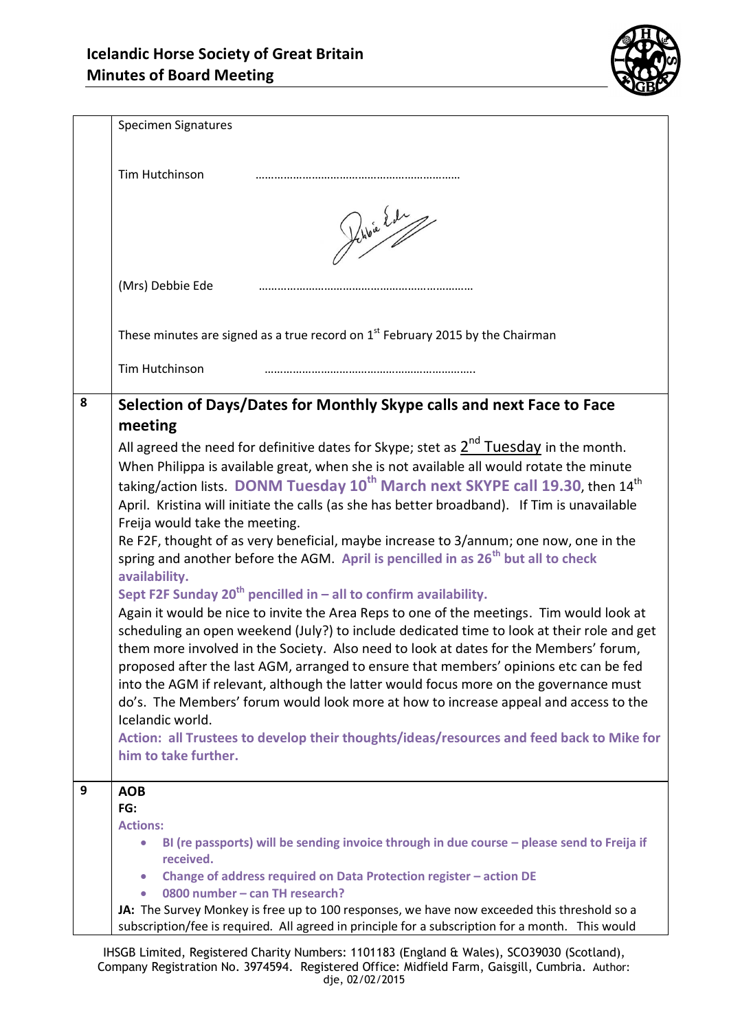

|   | Specimen Signatures                                                                                                                                                            |
|---|--------------------------------------------------------------------------------------------------------------------------------------------------------------------------------|
|   |                                                                                                                                                                                |
|   | Tim Hutchinson                                                                                                                                                                 |
|   |                                                                                                                                                                                |
|   |                                                                                                                                                                                |
|   | While led                                                                                                                                                                      |
|   |                                                                                                                                                                                |
|   | (Mrs) Debbie Ede                                                                                                                                                               |
|   |                                                                                                                                                                                |
|   |                                                                                                                                                                                |
|   | These minutes are signed as a true record on $1st$ February 2015 by the Chairman                                                                                               |
|   | Tim Hutchinson                                                                                                                                                                 |
|   |                                                                                                                                                                                |
| 8 | Selection of Days/Dates for Monthly Skype calls and next Face to Face                                                                                                          |
|   | meeting                                                                                                                                                                        |
|   | All agreed the need for definitive dates for Skype; stet as $2^{nd}$ Tuesday in the month.                                                                                     |
|   | When Philippa is available great, when she is not available all would rotate the minute                                                                                        |
|   | taking/action lists. DONM Tuesday 10 <sup>th</sup> March next SKYPE call 19.30, then 14 <sup>th</sup>                                                                          |
|   | April. Kristina will initiate the calls (as she has better broadband). If Tim is unavailable<br>Freija would take the meeting.                                                 |
|   | Re F2F, thought of as very beneficial, maybe increase to 3/annum; one now, one in the                                                                                          |
|   | spring and another before the AGM. April is pencilled in as 26 <sup>th</sup> but all to check                                                                                  |
|   | availability.                                                                                                                                                                  |
|   | Sept F2F Sunday $20^{th}$ pencilled in – all to confirm availability.                                                                                                          |
|   | Again it would be nice to invite the Area Reps to one of the meetings. Tim would look at                                                                                       |
|   | scheduling an open weekend (July?) to include dedicated time to look at their role and get                                                                                     |
|   | them more involved in the Society. Also need to look at dates for the Members' forum,<br>proposed after the last AGM, arranged to ensure that members' opinions etc can be fed |
|   | into the AGM if relevant, although the latter would focus more on the governance must                                                                                          |
|   | do's. The Members' forum would look more at how to increase appeal and access to the                                                                                           |
|   | Icelandic world.                                                                                                                                                               |
|   | Action: all Trustees to develop their thoughts/ideas/resources and feed back to Mike for                                                                                       |
|   | him to take further.                                                                                                                                                           |
| 9 | <b>AOB</b>                                                                                                                                                                     |
|   | FG:                                                                                                                                                                            |
|   | <b>Actions:</b>                                                                                                                                                                |
|   | BI (re passports) will be sending invoice through in due course - please send to Freija if<br>received.                                                                        |
|   | Change of address required on Data Protection register - action DE                                                                                                             |
|   | 0800 number - can TH research?                                                                                                                                                 |
|   | JA: The Survey Monkey is free up to 100 responses, we have now exceeded this threshold so a                                                                                    |
|   | subscription/fee is required. All agreed in principle for a subscription for a month. This would                                                                               |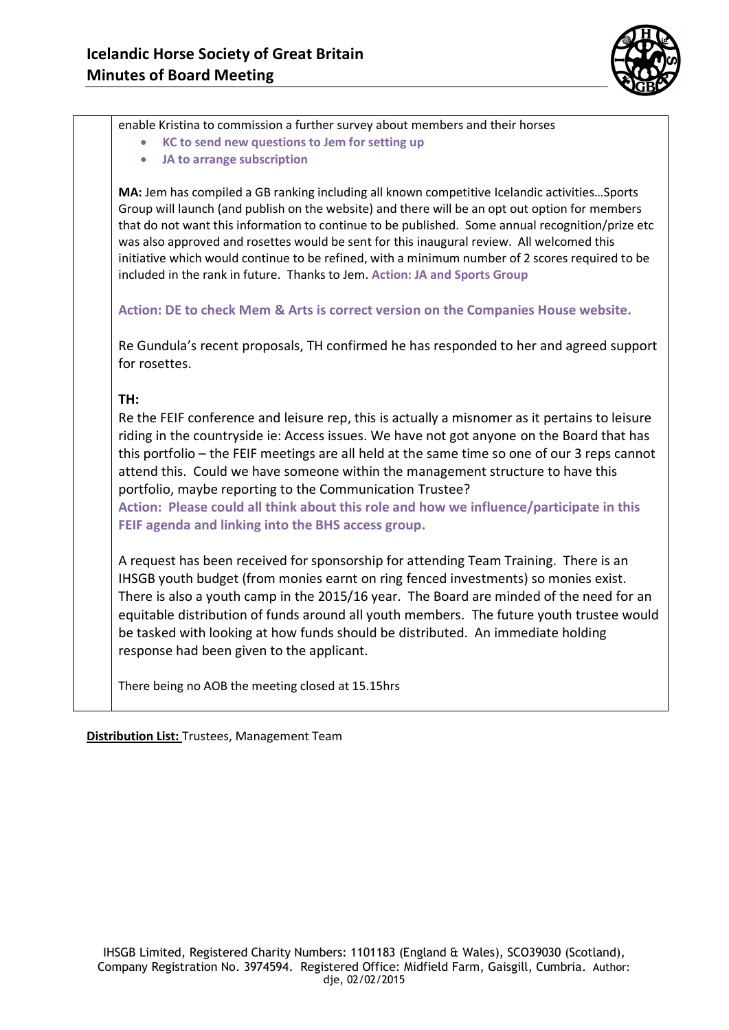

enable Kristina to commission a further survey about members and their horses

- **KC to send new questions to Jem for setting up**
- **JA to arrange subscription**

**MA:** Jem has compiled a GB ranking including all known competitive Icelandic activities…Sports Group will launch (and publish on the website) and there will be an opt out option for members that do not want this information to continue to be published. Some annual recognition/prize etc was also approved and rosettes would be sent for this inaugural review. All welcomed this initiative which would continue to be refined, with a minimum number of 2 scores required to be included in the rank in future. Thanks to Jem. **Action: JA and Sports Group**

**Action: DE to check Mem & Arts is correct version on the Companies House website.** 

Re Gundula's recent proposals, TH confirmed he has responded to her and agreed support for rosettes.

## **TH:**

Re the FEIF conference and leisure rep, this is actually a misnomer as it pertains to leisure riding in the countryside ie: Access issues. We have not got anyone on the Board that has this portfolio – the FEIF meetings are all held at the same time so one of our 3 reps cannot attend this. Could we have someone within the management structure to have this portfolio, maybe reporting to the Communication Trustee?

**Action: Please could all think about this role and how we influence/participate in this FEIF agenda and linking into the BHS access group.** 

A request has been received for sponsorship for attending Team Training. There is an IHSGB youth budget (from monies earnt on ring fenced investments) so monies exist. There is also a youth camp in the 2015/16 year. The Board are minded of the need for an equitable distribution of funds around all youth members. The future youth trustee would be tasked with looking at how funds should be distributed. An immediate holding response had been given to the applicant.

There being no AOB the meeting closed at 15.15hrs

**Distribution List:** Trustees, Management Team